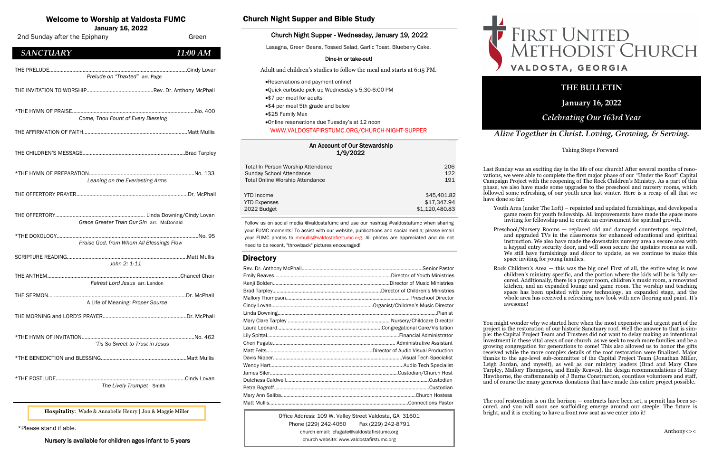| An Account of Our Stewardship |
|-------------------------------|
| 1/9/2022                      |

| Total In Person Worship Attendance     | 206            |
|----------------------------------------|----------------|
| Sunday School Attendance               | 122            |
| <b>Total Online Worship Attendance</b> | 191            |
| <b>YTD</b> Income                      | \$45,401.82    |
| <b>YTD Expenses</b>                    | \$17,347.94    |
| 2022 Budget                            | \$1,120,480.83 |

### Welcome to Worship at Valdosta FUMC

January 16, 2022

Office Address: 109 W. Valley Street Valdosta, GA 31601 Phone (229) 242-4050 Fax (229) 242-8791 church email: cfugate@valdostafirstumc.org church website: www.valdostafirstumc.org





### *Alive Together in Christ. Loving, Growing, & Serving.*

### **THE BULLETIN**

**January 16, 2022**

### *Celebrating Our 163rd Year*

Follow us on social media @valdostafumc and use our hashtag #valdostafumc when sharing your FUMC moments! To assist with our website, publications and social media; please email your FUMC photos to mmullis@valdostafirstumc.org. All photos are appreciated and do not need to be recent, "throwback" pictures encouraged!

### **Directory**

| 2nd Sunday after the Epiphany                  | Green       |
|------------------------------------------------|-------------|
| <b>SANCTUARY</b>                               | 11:00 AM    |
| Prelude on "Thaxted" arr. Page                 |             |
|                                                |             |
| Come, Thou Fount of Every Blessing             |             |
|                                                |             |
|                                                |             |
| Leaning on the Everlasting Arms                |             |
|                                                |             |
| Grace Greater Than Our Sin arr. McDonald       |             |
| Praise God, from Whom All Blessings Flow       |             |
| John 2: 1-11                                   |             |
| Fairest Lord Jesus arr. Landon                 |             |
| THE SERMON<br>A Life of Meaning: Proper Source | Dr. McPhail |
|                                                |             |
| 'Tis So Sweet to Trust in Jesus                |             |
|                                                |             |
| The Lively Trumpet Smith                       |             |

### Church Night Supper and Bible Study

### Church Night Supper - Wednesday, January 19, 2022

Lasagna, Green Beans, Tossed Salad, Garlic Toast, Blueberry Cake.

### Dine-in or take-out!

Adult and children's studies to follow the meal and starts at 6:15 PM.

- •Reservations and payment online!
- •Quick curbside pick up Wednesday's 5:30-6:00 PM
- •\$7 per meal for adults
- •\$4 per meal 5th grade and below
- •\$25 Family Max
- •Online reservations due Tuesday's at 12 noon WWW.VALDOSTAFIRSTUMC.ORG/CHURCH-NIGHT-SUPPER

\*Please stand if able.

Nursery is available for children ages infant to 5 years

**Hospitality**: Wade & Annabelle Henry | Jon & Maggie Miller

The roof restoration is on the horizon  $-$  contracts have been set, a permit has been secured, and you will soon see scaffolding emerge around our steeple. The future is bright, and it is exciting to have a front row seat as we enter into it!

# FIRST UNITED<br>METHODIST CHURCH VALDOSTA, GEORGIA

Taking Steps Forward

Last Sunday was an exciting day in the life of our church! After several months of renovations, we were able to complete the first major phase of our "Under the Roof" Capital Campaign Project with the reopening of The Rock Children's Ministry. As a part of this phase, we also have made some upgrades to the preschool and nursery rooms, which followed some refreshing of our youth area last winter. Here is a recap of all that we have done so far:

Youth Area (under The Loft) – repainted and updated furnishings, and developed a game room for youth fellowship. All improvements have made the space more inviting for fellowship and to create an environment for spiritual growth.

Preschool/Nursery Rooms — replaced old and damaged countertops, repainted, and upgraded TVs in the classrooms for enhanced educational and spiritual instruction. We also have made the downstairs nursery area a secure area with a keypad entry security door, and will soon secure the upstairs rooms as well. We still have furnishings and décor to update, as we continue to make this space inviting for young families.

Rock Children's Area — this was the big one! First of all, the entire wing is now children's ministry specific, and the portion where the kids will be is fully secured. Additionally, there is a prayer room, children's music room, a renovated kitchen, and an expanded lounge and game room. The worship and teaching space has been updated with new technology, an expanded stage, and the whole area has received a refreshing new look with new flooring and paint. It's awesome!

You might wonder why we started here when the most expensive and urgent part of the project is the restoration of our historic Sanctuary roof. Well the answer to that is simple: the Capital Project Team and Trustees did not want to delay making an intentional investment in these vital areas of our church, as we seek to reach more families and be a growing congregation for generations to come! This also allowed us to honor the gifts received while the more complex details of the roof restoration were finalized. Major thanks to the age-level sub-committee of the Capital Project Team (Jonathan Miller, Leigh Jordan, and myself), as well as our ministry leaders (Brad and Mary Clare Tarpley, Mallory Thompson, and Emily Reaves), the design recommendations of Mary Hawthorne, the craftsmanship of J Burns Construction, countless volunteers and staff, and of course the many generous donations that have made this entire project possible.